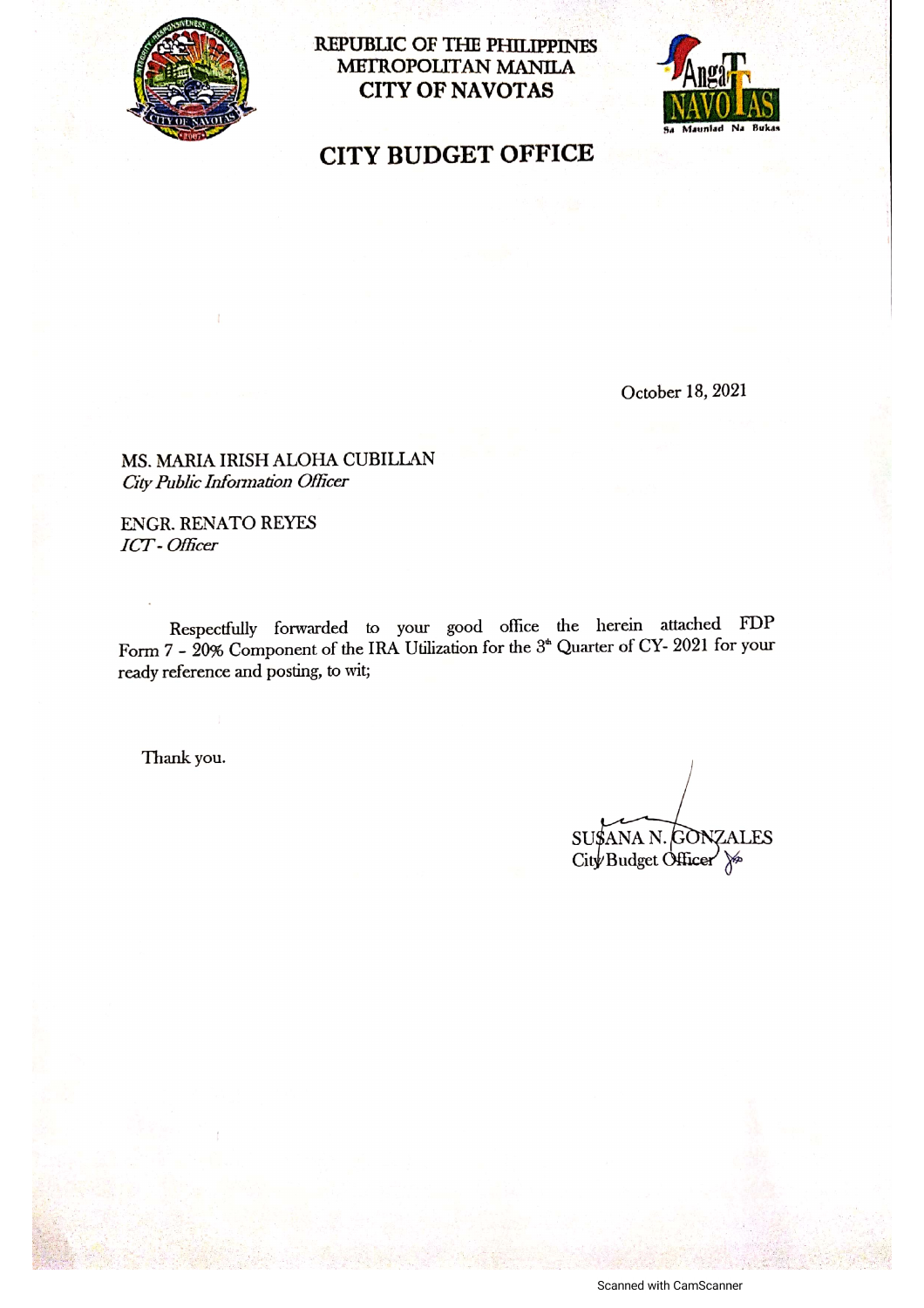

**REPUBLIC OF THE PHILIPPINES** METROPOLITAN MANILA **CITY OF NAVOTAS** 



**CITY BUDGET OFFICE** 

October 18, 2021

MS. MARIA IRISH ALOHA CUBILLAN City Public Information Officer

**ENGR. RENATO REYES** ICT-Officer

Respectfully forwarded to your good office the herein attached FDP Form 7 - 20% Component of the IRA Utilization for the 3<sup>th</sup> Quarter of CY- 2021 for your ready reference and posting, to wit;

Thank you.

SUSANA N. GONZALES City Budget Officer >

Scanned with CamScanner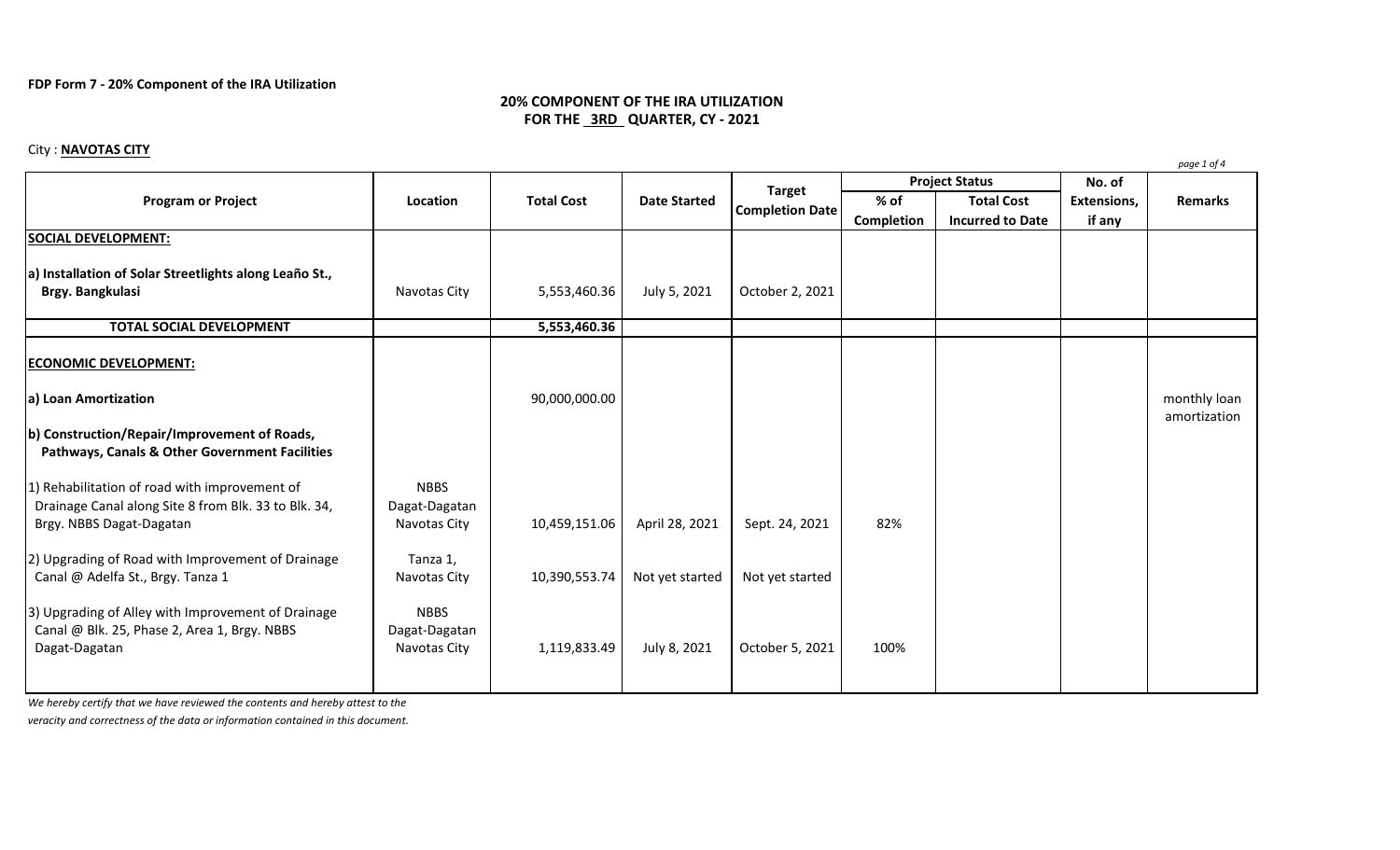## **FDP Form 7 - 20% Component of the IRA Utilization**

# **20% COMPONENT OF THE IRA UTILIZATION FOR THE 3RD QUARTER, CY - 2021**

# City : **NAVOTAS CITY**

|                                                                                                                                   |                                              |                   |                     |                                         |                       |                                              |                       | page 1 of 4                  |
|-----------------------------------------------------------------------------------------------------------------------------------|----------------------------------------------|-------------------|---------------------|-----------------------------------------|-----------------------|----------------------------------------------|-----------------------|------------------------------|
| <b>Program or Project</b>                                                                                                         | Location                                     | <b>Total Cost</b> | <b>Date Started</b> | <b>Target</b><br><b>Completion Date</b> | <b>Project Status</b> |                                              | No. of                |                              |
|                                                                                                                                   |                                              |                   |                     |                                         | $%$ of<br>Completion  | <b>Total Cost</b><br><b>Incurred to Date</b> | Extensions,<br>if any | <b>Remarks</b>               |
| <b>SOCIAL DEVELOPMENT:</b>                                                                                                        |                                              |                   |                     |                                         |                       |                                              |                       |                              |
| a) Installation of Solar Streetlights along Leaño St.,<br>Brgy. Bangkulasi                                                        | Navotas City                                 | 5,553,460.36      | July 5, 2021        | October 2, 2021                         |                       |                                              |                       |                              |
| <b>TOTAL SOCIAL DEVELOPMENT</b>                                                                                                   |                                              | 5,553,460.36      |                     |                                         |                       |                                              |                       |                              |
| <b>ECONOMIC DEVELOPMENT:</b>                                                                                                      |                                              |                   |                     |                                         |                       |                                              |                       |                              |
| a) Loan Amortization                                                                                                              |                                              | 90,000,000.00     |                     |                                         |                       |                                              |                       | monthly loan<br>amortization |
| b) Construction/Repair/Improvement of Roads,<br>Pathways, Canals & Other Government Facilities                                    |                                              |                   |                     |                                         |                       |                                              |                       |                              |
| 1) Rehabilitation of road with improvement of<br>Drainage Canal along Site 8 from Blk. 33 to Blk. 34,<br>Brgy. NBBS Dagat-Dagatan | <b>NBBS</b><br>Dagat-Dagatan<br>Navotas City | 10,459,151.06     | April 28, 2021      | Sept. 24, 2021                          | 82%                   |                                              |                       |                              |
| 2) Upgrading of Road with Improvement of Drainage<br>Canal @ Adelfa St., Brgy. Tanza 1                                            | Tanza 1,<br>Navotas City                     | 10,390,553.74     | Not yet started     | Not yet started                         |                       |                                              |                       |                              |
| 3) Upgrading of Alley with Improvement of Drainage<br>Canal @ Blk. 25, Phase 2, Area 1, Brgy. NBBS<br>Dagat-Dagatan               | <b>NBBS</b><br>Dagat-Dagatan<br>Navotas City | 1,119,833.49      | July 8, 2021        | October 5, 2021                         | 100%                  |                                              |                       |                              |

*We hereby certify that we have reviewed the contents and hereby attest to the*

*veracity and correctness of the data or information contained in this document.*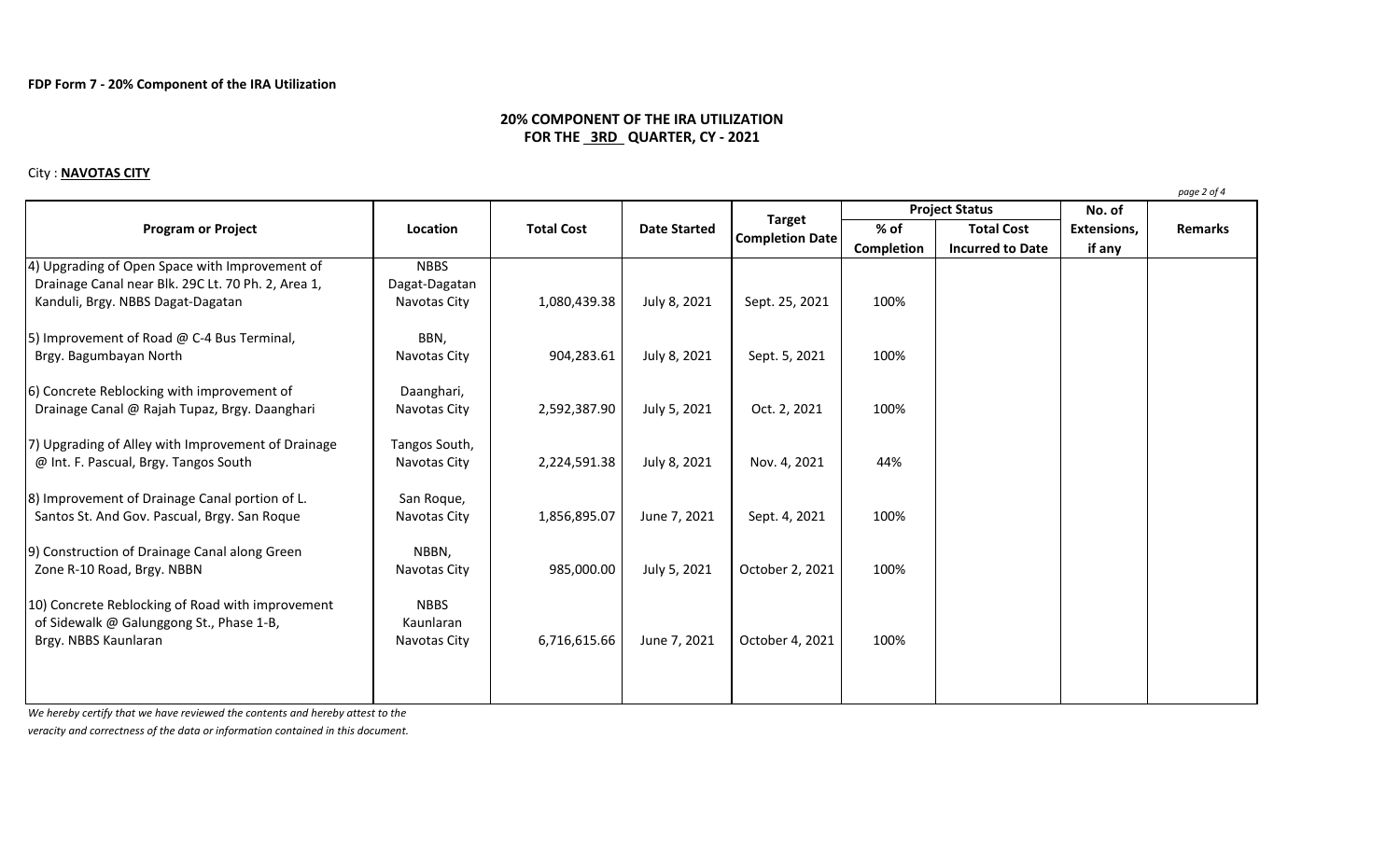## **20% COMPONENT OF THE IRA UTILIZATION FOR THE 3RD QUARTER, CY - 2021**

### City : **NAVOTAS CITY**

**No. of % of Total Cost Extensions, Completion Incurred to Date if any** 4) Upgrading of Open Space with Improvement of NBBS Drainage Canal near Blk. 29C Lt. 70 Ph. 2, Area 1, Dagat-Dagatan Kanduli, Brgy. NBBS Dagat-Dagatan Navotas City | 1,080,439.38 | July 8, 2021 | Sept. 25, 2021 | 100% 5) Improvement of Road  $@$  C-4 Bus Terminal, BBN, Brgy. Bagumbayan North 100% | Navotas City | 904,283.61 | July 8, 2021 | Sept. 5, 2021 | 100% 6) Concrete Reblocking with improvement of **Daanghari**, Drainage Canal @ Rajah Tupaz, Brgy. Daanghari | Navotas City | 2,592,387.90 | July 5, 2021 | Oct. 2, 2021 | 100% 7) Upgrading of Alley with Improvement of Drainage  $\Box$  Tangos South, @ Int. F. Pascual, Brgy. Tangos South Navotas City | 2,224,591.38 | July 8, 2021 | Nov. 4, 2021 | 44% 8) Improvement of Drainage Canal portion of L. San Roque, Santos St. And Gov. Pascual, Brgy. San Roque  $\vert$  Navotas City  $\vert$  1,856,895.07 June 7, 2021 Sept. 4, 2021 100% 9) Construction of Drainage Canal along Green NBBN, Zone R-10 Road, Brgy. NBBN Navotas City | Navotas City | 985,000.00 | July 5, 2021 | October 2, 2021 | 100% 10) Concrete Reblocking of Road with improvement NBBS of Sidewalk @ Galunggong St., Phase 1-B, The Manual Raunlaran Brgy. NBBS Kaunlaran **Navotas City | Contact Act Act Act Act A** Servey. NBBS Kaunlaran 100% **Program or Project Location Location Total Cost Date Started Considering Completion Date Project Status Remarks**

*We hereby certify that we have reviewed the contents and hereby attest to the*

*veracity and correctness of the data or information contained in this document.*

*page 2 of 4*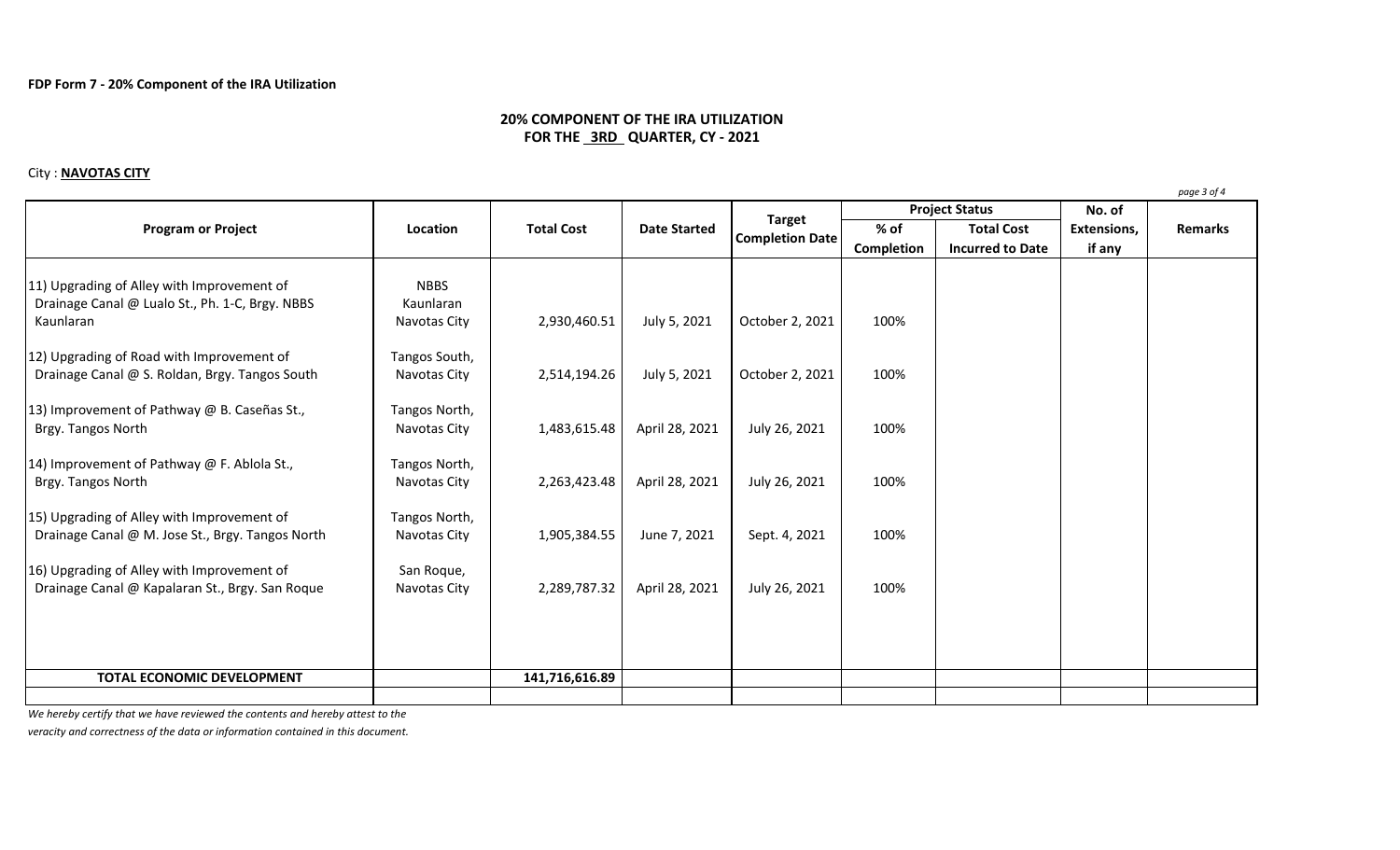# **20% COMPONENT OF THE IRA UTILIZATION FOR THE 3RD QUARTER, CY - 2021**

#### City : **NAVOTAS CITY**

**No. of % of Total Cost Extensions, Completion Incurred to Date if any** 11) Upgrading of Alley with Improvement of NBBS Drainage Canal @ Lualo St., Ph. 1-C, Brgy. NBBS Kaunlaran Kaunlaran 1980 - 100% Navotas City | 2,930,460.51 | July 5, 2021 | October 2, 2021 | 100% 12) Upgrading of Road with Improvement of Tangos South, Drainage Canal @ S. Roldan, Brgy. Tangos South Navotas City | 2,514,194.26 July 5, 2021 | October 2, 2021 | 100% 13) Improvement of Pathway @ B. Caseñas St., Tangos North, Brgy. Tangos North 1,00% (Navotas City | 1,483,615.48 | April 28, 2021 | July 26, 2021 | 100% 14) Improvement of Pathway @ F. Ablola St., Tangos North, Brgy. Tangos North 100% **Navotas City 2,263,423.48** April 28, 2021 July 26, 2021 100% 15) Upgrading of Alley with Improvement of Tangos North, Drainage Canal @ M. Jose St., Brgy. Tangos North | Navotas City | 1,905,384.55 | June 7, 2021 | Sept. 4, 2021 | 100% 16) Upgrading of Alley with Improvement of San Roque, Drainage Canal @ Kapalaran St., Brgy. San Roque Navotas City | 2,289,787.32 | April 28, 2021 | July 26, 2021 | 100% **TOTAL ECONOMIC DEVELOPMENT** 141,716,616.89 **Program or Project Location Location Total Cost Date Started Considering Completion Date Project Status Remarks**

*We hereby certify that we have reviewed the contents and hereby attest to the*

*veracity and correctness of the data or information contained in this document.*

*page 3 of 4*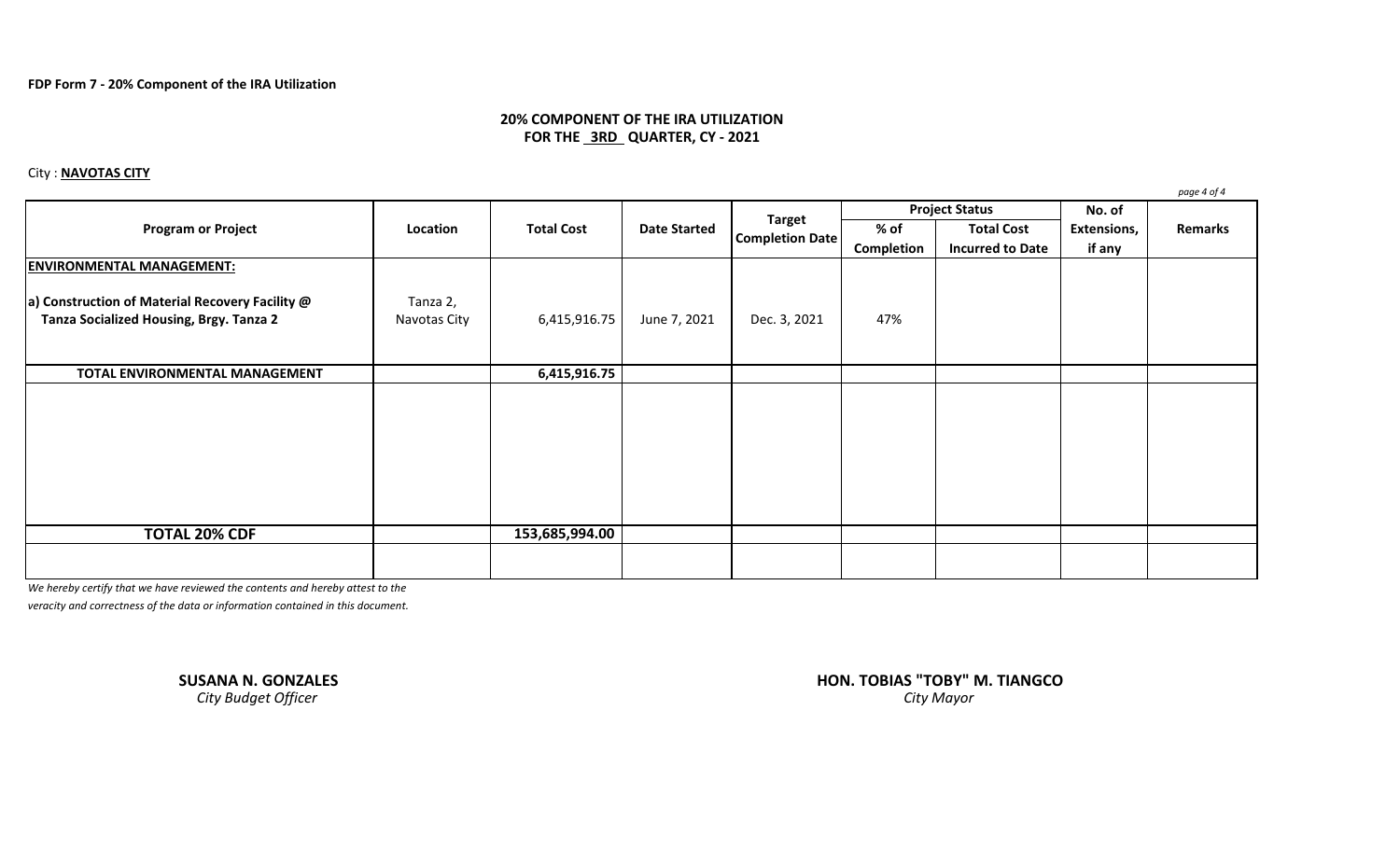## **20% COMPONENT OF THE IRA UTILIZATION FOR THE 3RD QUARTER, CY - 2021**

### City : **NAVOTAS CITY**

*page 4 of 4* **No. of % of Total Cost Extensions, Completion Incurred to Date if any ENVIRONMENTAL MANAGEMENT: a) Construction of Material Recovery Facility @** Tanza 2, **Tanza Socialized Housing, Brgy. Tanza 2 Navotas City | 6,415,916.75 | June 7, 2021 | Dec. 3, 2021 | 47% TOTAL ENVIRONMENTAL MANAGEMENT 6,415,916.75 TOTAL 20% CDF 153,685,994.00 Program or Project Target Location Target Target Date Started Target Completion Date Project Status Remarks**

*We hereby certify that we have reviewed the contents and hereby attest to the*

*veracity and correctness of the data or information contained in this document.*

*City Budget Officer* 

**SUSANA N. GONZALES HON. TOBIAS "TOBY" M. TIANGCO**